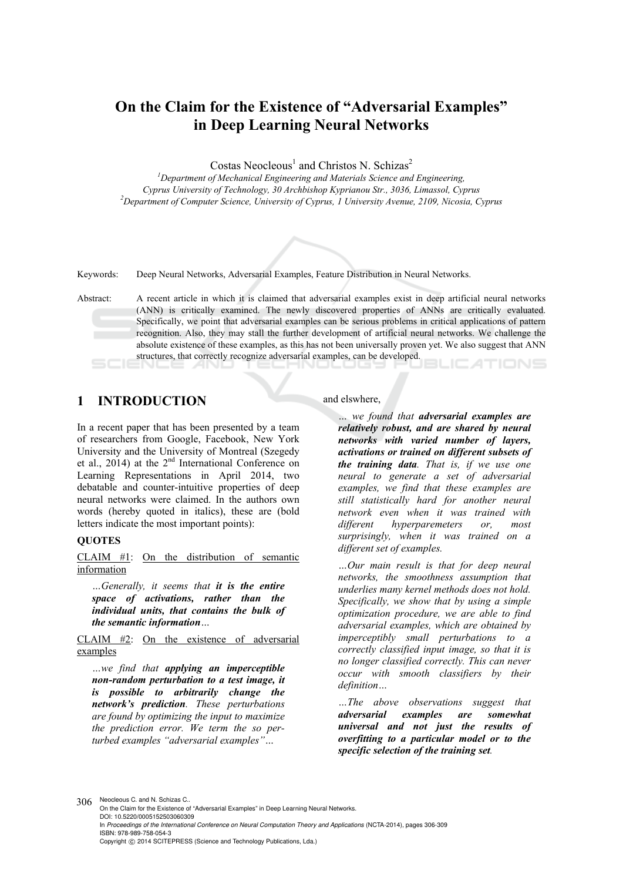# **On the Claim for the Existence of "Adversarial Examples" in Deep Learning Neural Networks**

Costas Neocleous<sup>1</sup> and Christos N. Schizas<sup>2</sup>

<sup>1</sup>Department of Mechanical Engineering and Materials Science and Engineering, *Cyprus University of Technology, 30 Archbishop Kyprianou Str., 3036, Limassol, Cyprus 2 Department of Computer Science, University of Cyprus, 1 University Avenue, 2109, Nicosia, Cyprus* 



Keywords: Deep Neural Networks, Adversarial Examples, Feature Distribution in Neural Networks.

Abstract: A recent article in which it is claimed that adversarial examples exist in deep artificial neural networks (ANN) is critically examined. The newly discovered properties of ANNs are critically evaluated. Specifically, we point that adversarial examples can be serious problems in critical applications of pattern recognition. Also, they may stall the further development of artificial neural networks. We challenge the absolute existence of these examples, as this has not been universally proven yet. We also suggest that ANN structures, that correctly recognize adversarial examples, can be developed.

## **1 INTRODUCTION**

In a recent paper that has been presented by a team of researchers from Google, Facebook, New York University and the University of Montreal (Szegedy et al., 2014) at the 2nd International Conference on Learning Representations in April 2014, two debatable and counter-intuitive properties of deep neural networks were claimed. In the authors own words (hereby quoted in italics), these are (bold letters indicate the most important points):

#### **QUOTES**

CLAIM #1: On the distribution of semantic information

*…Generally, it seems that it is the entire space of activations, rather than the individual units, that contains the bulk of the semantic information…* 

CLAIM #2: On the existence of adversarial examples

*…we find that applying an imperceptible non-random perturbation to a test image, it is possible to arbitrarily change the network's prediction. These perturbations are found by optimizing the input to maximize the prediction error. We term the so perturbed examples "adversarial examples"…* 

and elswhere,

*… we found that adversarial examples are relatively robust, and are shared by neural networks with varied number of layers, activations or trained on different subsets of the training data. That is, if we use one neural to generate a set of adversarial examples, we find that these examples are still statistically hard for another neural network even when it was trained with different hyperparemeters or, most surprisingly, when it was trained on a different set of examples.* 

*…Our main result is that for deep neural networks, the smoothness assumption that underlies many kernel methods does not hold. Specifically, we show that by using a simple optimization procedure, we are able to find adversarial examples, which are obtained by imperceptibly small perturbations to a correctly classified input image, so that it is no longer classified correctly. This can never occur with smooth classifiers by their definition…* 

*…The above observations suggest that adversarial examples are somewhat universal and not just the results of overfitting to a particular model or to the specific selection of the training set.* 

306 Neocleous C. and N. Schizas C.

On the Claim for the Existence of "Adversarial Examples" in Deep Learning Neural Networks. DOI: 10.5220/0005152503060309 In *Proceedings of the International Conference on Neural Computation Theory and Applications* (NCTA-2014), pages 306-309 ISBN: 978-989-758-054-3 Copyright © 2014 SCITEPRESS (Science and Technology Publications, Lda.)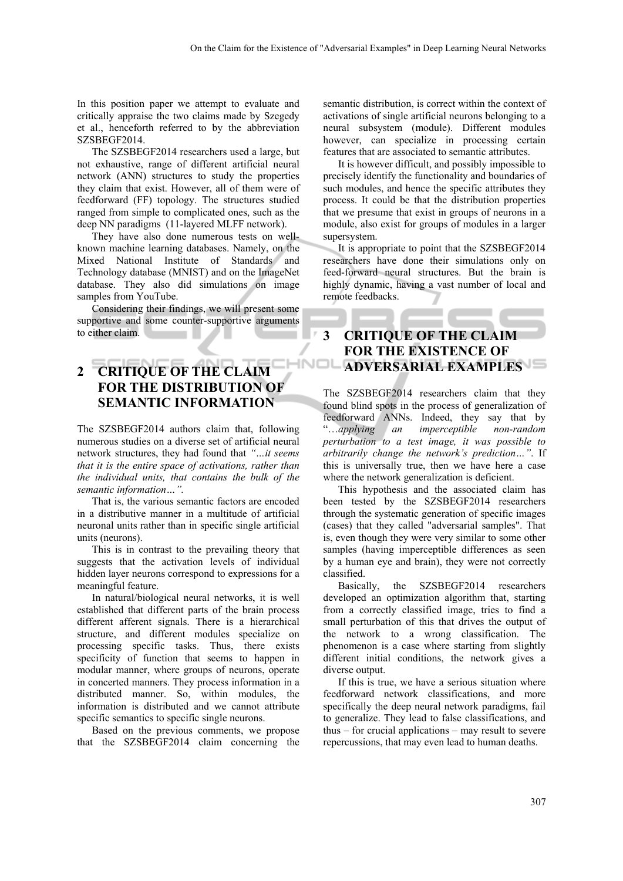In this position paper we attempt to evaluate and critically appraise the two claims made by Szegedy et al., henceforth referred to by the abbreviation SZSBEGF2014.

The SZSBEGF2014 researchers used a large, but not exhaustive, range of different artificial neural network (ANN) structures to study the properties they claim that exist. However, all of them were of feedforward (FF) topology. The structures studied ranged from simple to complicated ones, such as the deep NN paradigms (11-layered MLFF network).

They have also done numerous tests on wellknown machine learning databases. Namely, on the Mixed National Institute of Standards and Technology database (MNIST) and on the ImageNet database. They also did simulations on image samples from YouTube.

Considering their findings, we will present some supportive and some counter-supportive arguments to either claim.

## **2 CRITIQUE OF THE CLAIM FOR THE DISTRIBUTION OF SEMANTIC INFORMATION**

The SZSBEGF2014 authors claim that, following numerous studies on a diverse set of artificial neural network structures, they had found that *"…it seems that it is the entire space of activations, rather than the individual units, that contains the bulk of the semantic information…".* 

That is, the various semantic factors are encoded in a distributive manner in a multitude of artificial neuronal units rather than in specific single artificial units (neurons).

This is in contrast to the prevailing theory that suggests that the activation levels of individual hidden layer neurons correspond to expressions for a meaningful feature.

In natural/biological neural networks, it is well established that different parts of the brain process different afferent signals. There is a hierarchical structure, and different modules specialize on processing specific tasks. Thus, there exists specificity of function that seems to happen in modular manner, where groups of neurons, operate in concerted manners. They process information in a distributed manner. So, within modules, the information is distributed and we cannot attribute specific semantics to specific single neurons.

Based on the previous comments, we propose that the SZSBEGF2014 claim concerning the

semantic distribution, is correct within the context of activations of single artificial neurons belonging to a neural subsystem (module). Different modules however, can specialize in processing certain features that are associated to semantic attributes.

It is however difficult, and possibly impossible to precisely identify the functionality and boundaries of such modules, and hence the specific attributes they process. It could be that the distribution properties that we presume that exist in groups of neurons in a module, also exist for groups of modules in a larger supersystem.

It is appropriate to point that the SZSBEGF2014 researchers have done their simulations only on feed-forward neural structures. But the brain is highly dynamic, having a vast number of local and remote feedbacks.

#### **3 CRITIQUE OF THE CLAIM FOR THE EXISTENCE OF INOL ADVERSARIAL EXAMPLES**

The SZSBEGF2014 researchers claim that they found blind spots in the process of generalization of feedforward ANNs. Indeed, they say that by "…*applying an imperceptible non-random perturbation to a test image, it was possible to arbitrarily change the network's prediction…"*. If this is universally true, then we have here a case where the network generalization is deficient.

This hypothesis and the associated claim has been tested by the SZSBEGF2014 researchers through the systematic generation of specific images (cases) that they called "adversarial samples". That is, even though they were very similar to some other samples (having imperceptible differences as seen by a human eye and brain), they were not correctly classified.

Basically, the SZSBEGF2014 researchers developed an optimization algorithm that, starting from a correctly classified image, tries to find a small perturbation of this that drives the output of the network to a wrong classification. The phenomenon is a case where starting from slightly different initial conditions, the network gives a diverse output.

If this is true, we have a serious situation where feedforward network classifications, and more specifically the deep neural network paradigms, fail to generalize. They lead to false classifications, and thus – for crucial applications – may result to severe repercussions, that may even lead to human deaths.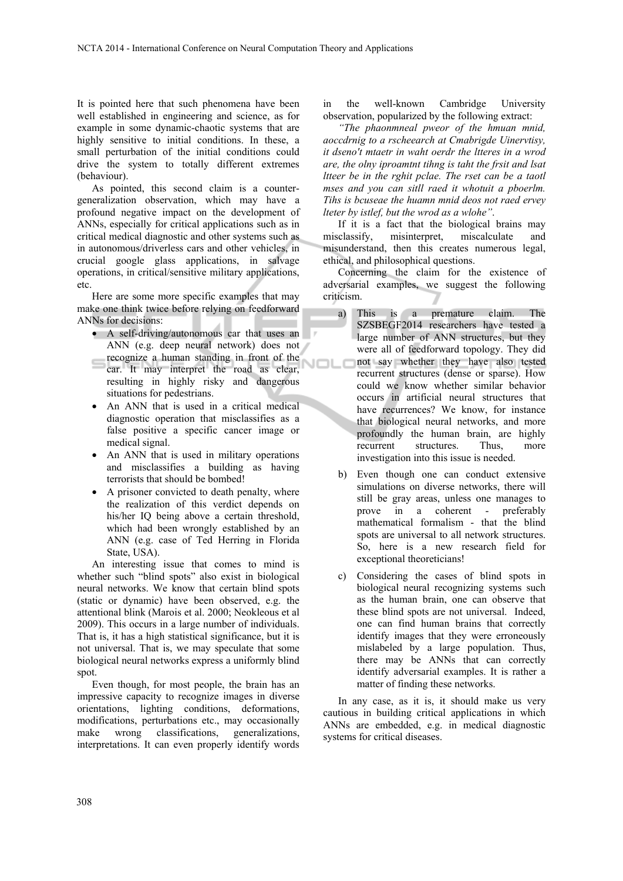It is pointed here that such phenomena have been well established in engineering and science, as for example in some dynamic-chaotic systems that are highly sensitive to initial conditions. In these, a small perturbation of the initial conditions could drive the system to totally different extremes (behaviour).

As pointed, this second claim is a countergeneralization observation, which may have a profound negative impact on the development of ANNs, especially for critical applications such as in critical medical diagnostic and other systems such as in autonomous/driverless cars and other vehicles, in crucial google glass applications, in salvage operations, in critical/sensitive military applications, etc.

Here are some more specific examples that may make one think twice before relying on feedforward ANNs for decisions:

- A self-driving/autonomous car that uses an ANN (e.g. deep neural network) does not
- recognize a human standing in front of the car. It may interpret the road as clear, resulting in highly risky and dangerous situations for pedestrians.
- An ANN that is used in a critical medical diagnostic operation that misclassifies as a false positive a specific cancer image or medical signal.
- An ANN that is used in military operations and misclassifies a building as having terrorists that should be bombed!
- A prisoner convicted to death penalty, where the realization of this verdict depends on his/her IQ being above a certain threshold, which had been wrongly established by an ANN (e.g. case of Ted Herring in Florida State, USA).

An interesting issue that comes to mind is whether such "blind spots" also exist in biological neural networks. We know that certain blind spots (static or dynamic) have been observed, e.g. the attentional blink (Marois et al. 2000; Neokleous et al 2009). This occurs in a large number of individuals. That is, it has a high statistical significance, but it is not universal. That is, we may speculate that some biological neural networks express a uniformly blind spot.

Even though, for most people, the brain has an impressive capacity to recognize images in diverse orientations, lighting conditions, deformations, modifications, perturbations etc., may occasionally make wrong classifications, generalizations, interpretations. It can even properly identify words

in the well-known Cambridge University observation, popularized by the following extract:

*"The phaonmneal pweor of the hmuan mnid, aoccdrnig to a rscheearch at Cmabrigde Uinervtisy, it dseno't mtaetr in waht oerdr the ltteres in a wrod are, the olny iproamtnt tihng is taht the frsit and lsat ltteer be in the rghit pclae. The rset can be a taotl mses and you can sitll raed it whotuit a pboerlm. Tihs is bcuseae the huamn mnid deos not raed ervey lteter by istlef, but the wrod as a wlohe"*.

If it is a fact that the biological brains may misclassify, misinterpret, miscalculate and misunderstand, then this creates numerous legal, ethical, and philosophical questions.

Concerning the claim for the existence of adversarial examples, we suggest the following criticism.

- a) This is a premature claim. The SZSBEGF2014 researchers have tested a large number of ANN structures, but they were all of feedforward topology. They did not say whether they have also tested VIOI recurrent structures (dense or sparse). How could we know whether similar behavior occurs in artificial neural structures that have recurrences? We know, for instance that biological neural networks, and more profoundly the human brain, are highly recurrent structures. Thus, more investigation into this issue is needed.
	- b) Even though one can conduct extensive simulations on diverse networks, there will still be gray areas, unless one manages to prove in a coherent - preferably mathematical formalism - that the blind spots are universal to all network structures. So, here is a new research field for exceptional theoreticians!
	- c) Considering the cases of blind spots in biological neural recognizing systems such as the human brain, one can observe that these blind spots are not universal. Indeed, one can find human brains that correctly identify images that they were erroneously mislabeled by a large population. Thus, there may be ANNs that can correctly identify adversarial examples. It is rather a matter of finding these networks.

In any case, as it is, it should make us very cautious in building critical applications in which ANNs are embedded, e.g. in medical diagnostic systems for critical diseases.